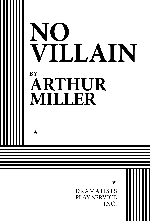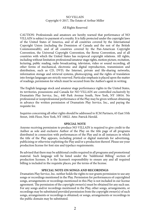#### NO VILLAIN Copyright © 2017, The Estate of Arthur Miller

### All Rights Reserved

CAUTION: Professionals and amateurs are hereby warned that performance of NO VILLAIN is subject to payment of a royalty. It is fully protected under the copyright laws of the United States of America, and of all countries covered by the International Copyright Union (including the Dominion of Canada and the rest of the British Commonwealth), and of all countries covered by the Pan-American Copyright Convention, the Universal Copyright Convention, the Berne Convention, and of all countries with which the United States has reciprocal copyright relations. All rights, including without limitation professional/amateur stage rights, motion picture, recitation, lecturing, public reading, radio broadcasting, television, video or sound recording, all other forms of mechanical, electronic and digital reproduction, transmission and distribution, such as CD, DVD, the Internet, private and file-sharing networks, information storage and retrieval systems, photocopying, and the rights of translation into foreign languages are strictly reserved. Particular emphasis is placed upon the matter of readings, permission for which must be secured from the Author's agent in writing.

The English language stock and amateur stage performance rights in the United States, its territories, possessions and Canada for NO VILLAIN are controlled exclusively by Dramatists Play Service, Inc., 440 Park Avenue South, New York, NY 10016. No professional or nonprofessional performance of the Play may be given without obtaining in advance the written permission of Dramatists Play Service, Inc., and paying the requisite fee.

Inquiries concerning all other rights should be addressed to ICM Partners, 65 East 55th Street, 16th Floor, New York, NY 10022. Attn: Patrick Herold.

#### **SPECIAL NOTE**

Anyone receiving permission to produce NO VILLAIN is required to give credit to the Author as sole and exclusive Author of the Play on the title page of all programs distributed in connection with performances of the Play and in all instances in which the title of the Play appears, including printed or digital materials for advertising, publicizing or otherwise exploiting the Play and/or a production thereof. Please see your production license for font size and typeface requirements.

Be advised that there may be additional credits required in all programs and promotional material. Such language will be listed under the "Additional Billing" section of production licenses. It is the licensee's responsibility to ensure any and all required billing is included in the requisite places, per the terms of the license.

#### **SPECIAL NOTE ON SONGS AND RECORDINGS**

Dramatists Play Service, Inc. neither holds the rights to nor grants permission to use any songs or recordings mentioned in the Play. Permission for performances of copyrighted songs, arrangements or recordings mentioned in this Play is not included in our license agreement. The permission of the copyright owner(s) must be obtained for any such use. For any songs and/or recordings mentioned in the Play, other songs, arrangements, or recordings may be substituted provided permission from the copyright owner(s) of such songs, arrangements or recordings is obtained; or songs, arrangements or recordings in the public domain may be substituted.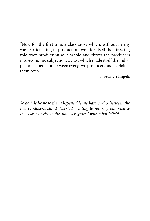"Now for the first time a class arose which, without in any way participating in production, won for itself the directing role over production as a whole and threw the producers into economic subjection; a class which made itself the indispensable mediator between every two producers and exploited them both."

—Friedrich Engels

*So do I dedicate to the indispensable mediators who, between the two producers, stand deserted, waiting to return from whence they came or else to die, not even graced with a battlefield.*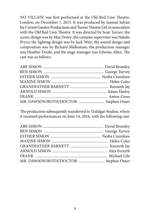NO VILLAIN was first performed at the Old Red Lion Theatre, London, on December 7, 2015. It was produced by Samuel Julyan for Covent Garden Productions and Turner Theatre Ltd, in association with the Old Red Lion Theatre. It was directed by Sean Turner; the scenic design was by Max Dorey; the costume supervisor was Natalie Pryce; the lighting design was by Jack Weir; the sound design and composition was by Richard Melkonian; the production manager was Heather Doole; and the stage manager was Edwina Allen. The cast was as follows:

| MR. DAWSON/ROTH/DOCTOR  Stephen Omer |  |
|--------------------------------------|--|
|                                      |  |

The production subsequently transferred to Trafalgar Studios, where it resumed performances on June 14, 2016, with the following cast:

| MR. DAWSON/ROTH/DOCTOR  Stephen Omer |  |
|--------------------------------------|--|
|                                      |  |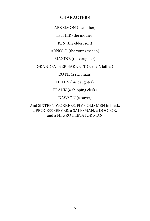## **CHARACTERS**

ABE SIMON (the father)

ESTHER (the mother)

BEN (the eldest son)

ARNOLD (the youngest son)

MAXINE (the daughter)

GRANDFATHER BARNETT (Esther's father)

ROTH (a rich man)

HELEN (his daughter)

FRANK (a shipping clerk)

DAWSON (a buyer)

And SIXTEEN WORKERS, FIVE OLD MEN in black, a PROCESS SERVER, a SALESMAN, a DOCTOR, and a NEGRO ELEVATOR MAN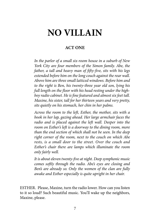# **NO VILLAIN**

## **ACT ONE**

*In the parlor of a small six-room house in a suburb of New York City are four members of the Simon family. Abe, the father, a tall and heavy man of fifty-five, sits with his legs extended before him on the long couch against the rear wall. Above him are three small latticed windows. Before him and to the right is Ben, his twenty-three year old son, lying his full length on the floor with his head resting under the highboy radio cabinet. He is fine featured and almost six feet tall. Maxine, his sister, tall for her thirteen years and very pretty, sits quietly on his stomach, her chin in her palms.*

*Across the room to the left, Esther, the mother, sits with a book in her lap, gazing ahead. Her large armchair faces the*  radio and is placed against the left wall. Deeper into the *room on Esther's left is a doorway to the dining room, more than the end section of which shall not be seen. In the deep right corner of the room, next to the couch on which Abe rests, is a small door to the street. Over the couch and Esther's chair there are lamps which illuminate the room only fairly well.*

*It is about eleven twenty-five at night. Deep symphonic music comes softly through the radio. Abe's eyes are closing and Ben's are already so. Only the women of the clan are fully awake and Esther especially is quite upright in her chair.*

ESTHER. Please, Maxine, turn the radio lower. How can you listen to it so loud? Such beautiful music. You'll wake up the neighbors, Maxine, please.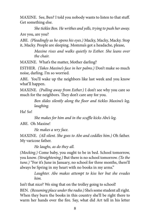MAXINE. See, Ben? I told you nobody wants to listen to that stuff. Get something else.

*She tickles Ben. He writhes and yells, trying to push her away.* Are you, are you?

ABE. *(Pleadingly as he opens his eyes.)* Macky, Macky, Macky. Stop it, Macky. People are sleeping. Momma's got a headache, please,

> *Maxine rises and walks quietly to Esther. She leans over the chair.*

MAXINE. What's the matter, Mother darling?

ESTHER. *(Takes Maxine's face in her palms.)* Don't make so much noise, darling. I'm so worried.

ABE. You'll wake up the neighbors like last week and you know what'll happen.

MAXINE. *(Pulling away from Esther.)* I don't see why you care so much for the neighbors. They don't care any for you.

> *Ben slides silently along the floor and tickles Maxine's leg, laughing.*

Ha! So!

*She makes for him and in the scuffle kicks Abe's leg.*

ABE. Oh Maxine!

*He makes a wry face.*

MAXINE. *(All silent. She goes to Abe and coddles him.)* Oh father. My varicose father.

*He laughs, as do they all.*

*(Mocking.)* Come baby, you ought to be in bed. School tomorrow, you know. *(Straightening.)* But there is no school tomorrow. *(To the tune.)* "For it's June in January, no school for three months, there'll always be Spring in my heart with no books in my arms."

> *Laughter. Abe makes attempt to kiss her but she evades him.*

Isn't that nice? We sing that on the trolley going to school!

BEN. *(Resuming place under the radio.)* She's some student all right. When they burn the books in this country she'll be right there to warm her hands over the fire. Say, what did Art tell in his letter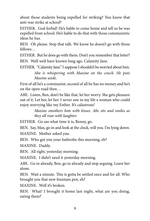about those students being expelled for striking? You know that anti-war strike at school?

ESTHER. God forbid! He's liable to come home and tell us he was expelled from school. He's liable to do that with those communistic ideas he has.

BEN. Oh please. Stop that talk. We know he doesn't go with those fellows…

ESTHER. But he does go with them. Don't you remember that letter? BEN. Well we'd have known long ago. Calamity Jane.

ESTHER. "Calamity Jane." I suppose I shouldn't be worried about him.

*Abe is whispering with Maxine on the couch. He puts Maxine aside.*

First of all he's a communist, second of all he has no money and he's on the open road then…

ABE. Listen, Ben, don't be like that, let her worry. She gets pleasure out of it. Let her, let her. I never saw in my life a woman who could enjoy worrying like my Esther. It's calastrous!

> *Maxine smothers him with kisses. Abe sits and smiles as they all roar with laughter.*

ESTHER. Go see what time it is, Benny, go.

BEN. Say, Max, go in and look at the clock, will you. I'm lying down.

MAXINE. Mother asked you.

BEN. Who got you your bathrobe this morning, eh?

MAXINE. Daddy.

BEN. All right, yesterday morning.

MAXINE. I didn't need it yesterday morning.

ABE. Go in already, Ben, go in already and stop arguing. Leave her alone.

BEN. Wait a minute. This is gotta be settled once and for all. Who brought you that new fountain pen, eh?

MAXINE. Well it's broken.

BEN. What! I brought it home last night, what are you doing, eating them?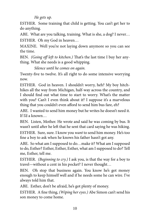## *He gets up.*

ESTHER. Some training that child is getting. You can't get her to do anything.

ABE. What are you talking, training. What is she, a dog? I never… ESTHER. Oh my God in heaven…

MAXINE. Well you're not laying down anymore so you can see the time.

BEN. *(Going off left to kitchen.)* That's the last time I buy her anything. What she needs is a good whipping.

*Silence until he comes on again.*

Twenty-five to twelve. It's all right to do some intensive worrying now.

ESTHER. God in heaven. I shouldn't worry, heh? My boy hitchhikes all the way from Michigan, half-way across the country, and I should find out what time to start to worry. What's the matter with you? Can't I even think about it? I suppose it's a marvelous thing that you couldn't even afford to send him bus fare, eh?

ABE. I wanted to send him money but he writes he doesn't need it. If I'd a known…

BEN. Listen, Mother. He wrote and said he was coming by bus. It wasn't until after he left that he sent that card saying he was hiking.

ESTHER. Sure, sure. I know you *want* to send him money. He's too fine a boy to ask when he knows his father hasn't got any.

ABE. So what am I supposed to do…make it? What am I supposed to do, Esther? Esther, Esther, Esther, what am I supposed to do? Tell me, Esther, tell me.

ESTHER. *(Beginning to cry.)* I ask you, is that the way for a boy to travel—without a cent in his pocket? I never thought…

BEN. Oh stop that business again. You know he's got money enough to keep himself well and if he needs some he can wire. I've always told him that.

ABE. Esther, don't be afraid, he's got plenty of money.

ESTHER. A fine thing, *(Wiping her eyes.)* Abe Simon can't send his son money to come home.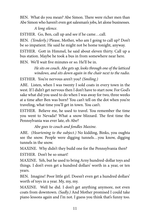BEN. What do you mean? Abe Simon. There were richer men than Abe Simon who haven't even got salesman's jobs, let alone businesses.

*A long silence.*

ESTHER. Go, Ben, call up and see if he came…call.

BEN. *(Tenderly.)* Please, Mother, who am I going to call up? Don't be so impatient. He said he might not be home tonight, anyway.

ESTHER. Gott in Himmel, he said about eleven thirty. Call up a bus station. Maybe he took a bus in from somewhere near here.

BEN. We'll wait five minutes or so. He'll be in.

*He sits on couch. Abe gets up, looks through one of the latticed windows, and sits down again in the chair next to the radio.*

ESTHER. You're nervous aren't you? *(Smiling.)*

ABE. Listen, when I was twenty I sold coats in every town in the west. If I didn't get nervous then I don't have to start now. For God's sake what did you used to do when I was away for two, three weeks at a time after Ben was born? You can't tell on the dot when you're traveling, what time you'll get in town. You can't.

ESTHER. Believe me, he used to travel. You remember the time you went to Nevada? What a snow blizzard. The first time the Pennsylvania was ever late, eh Abe?

*Abe goes to couch and fondles Maxine.*

ABE. *(Heartening to the subject.)* No kidding, Binks, you oughta see the snow. People were digging tunnels…you know, digging tunnels in the snow.

MAXINE. Why didn't they build one for the Pennsylvania then?

ESTHER. Don't be so smart!

MAXINE. Yeh, but he used to bring Arny hundred-dollar toys and things. I don't even get a hundred dollars' worth in a year, or ten years.

BEN. Imagine! Poor little girl. Doesn't even get a hundred dollars' worth of toys in a year. My, my, my.

MAXINE. Well he did. I don't get anything anymore, not even coats from downtown. *(Sadly.)* And Mother promised I could take piano lessons again and I'm not. I guess you think that's funny too.